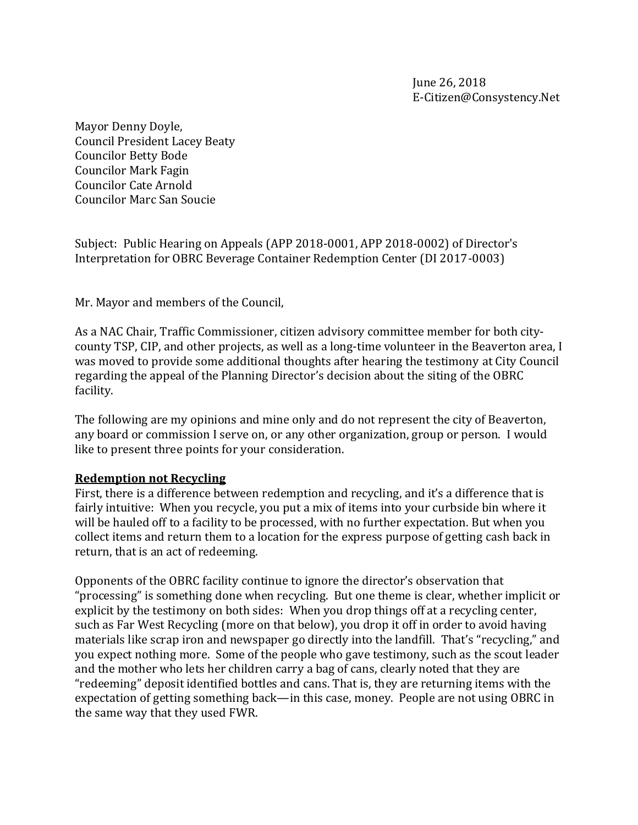Mayor Denny Doyle, Council President Lacey Beaty Councilor Betty Bode Councilor Mark Fagin Councilor Cate Arnold Councilor Marc San Soucie

Subject: Public Hearing on Appeals (APP 2018-0001, APP 2018-0002) of Director's Interpretation for OBRC Beverage Container Redemption Center (DI 2017-0003)

Mr. Mayor and members of the Council,

As a NAC Chair, Traffic Commissioner, citizen advisory committee member for both citycounty TSP, CIP, and other projects, as well as a long-time volunteer in the Beaverton area, I was moved to provide some additional thoughts after hearing the testimony at City Council regarding the appeal of the Planning Director's decision about the siting of the OBRC facility.

The following are my opinions and mine only and do not represent the city of Beaverton, any board or commission I serve on, or any other organization, group or person. I would like to present three points for your consideration.

## **Redemption not Recycling**

First, there is a difference between redemption and recycling, and it's a difference that is fairly intuitive: When you recycle, you put a mix of items into your curbside bin where it will be hauled off to a facility to be processed, with no further expectation. But when you collect items and return them to a location for the express purpose of getting cash back in return, that is an act of redeeming.

Opponents of the OBRC facility continue to ignore the director's observation that "processing" is something done when recycling. But one theme is clear, whether implicit or explicit by the testimony on both sides: When you drop things off at a recycling center, such as Far West Recycling (more on that below), you drop it off in order to avoid having materials like scrap iron and newspaper go directly into the landfill. That's "recycling," and you expect nothing more. Some of the people who gave testimony, such as the scout leader and the mother who lets her children carry a bag of cans, clearly noted that they are "redeeming" deposit identified bottles and cans. That is, they are returning items with the expectation of getting something back—in this case, money. People are not using OBRC in the same way that they used FWR.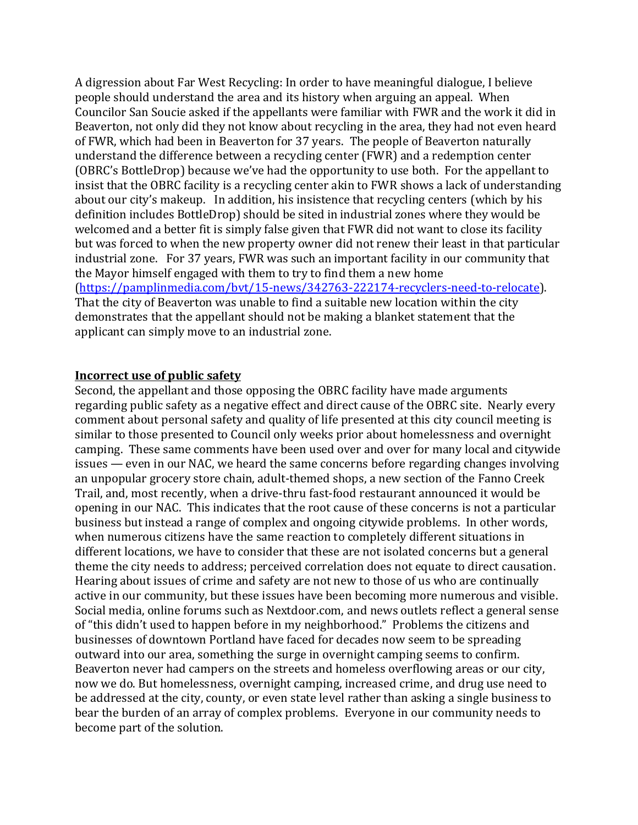A digression about Far West Recycling: In order to have meaningful dialogue, I believe people should understand the area and its history when arguing an appeal. When Councilor San Soucie asked if the appellants were familiar with FWR and the work it did in Beaverton, not only did they not know about recycling in the area, they had not even heard of FWR, which had been in Beaverton for 37 years. The people of Beaverton naturally understand the difference between a recycling center (FWR) and a redemption center (OBRC's BottleDrop) because we've had the opportunity to use both. For the appellant to insist that the OBRC facility is a recycling center akin to FWR shows a lack of understanding about our city's makeup. In addition, his insistence that recycling centers (which by his definition includes BottleDrop) should be sited in industrial zones where they would be welcomed and a better fit is simply false given that FWR did not want to close its facility but was forced to when the new property owner did not renew their least in that particular industrial zone. For 37 years, FWR was such an important facility in our community that the Mayor himself engaged with them to try to find them a new home [\(https://pamplinmedia.com/bvt/15-news/342763-222174-recyclers-need-to-relocate\)](https://pamplinmedia.com/bvt/15-news/342763-222174-recyclers-need-to-relocate). That the city of Beaverton was unable to find a suitable new location within the city demonstrates that the appellant should not be making a blanket statement that the applicant can simply move to an industrial zone.

## **Incorrect use of public safety**

Second, the appellant and those opposing the OBRC facility have made arguments regarding public safety as a negative effect and direct cause of the OBRC site. Nearly every comment about personal safety and quality of life presented at this city council meeting is similar to those presented to Council only weeks prior about homelessness and overnight camping. These same comments have been used over and over for many local and citywide issues — even in our NAC, we heard the same concerns before regarding changes involving an unpopular grocery store chain, adult-themed shops, a new section of the Fanno Creek Trail, and, most recently, when a drive-thru fast-food restaurant announced it would be opening in our NAC. This indicates that the root cause of these concerns is not a particular business but instead a range of complex and ongoing citywide problems. In other words, when numerous citizens have the same reaction to completely different situations in different locations, we have to consider that these are not isolated concerns but a general theme the city needs to address; perceived correlation does not equate to direct causation. Hearing about issues of crime and safety are not new to those of us who are continually active in our community, but these issues have been becoming more numerous and visible. Social media, online forums such as Nextdoor.com, and news outlets reflect a general sense of "this didn't used to happen before in my neighborhood." Problems the citizens and businesses of downtown Portland have faced for decades now seem to be spreading outward into our area, something the surge in overnight camping seems to confirm. Beaverton never had campers on the streets and homeless overflowing areas or our city, now we do. But homelessness, overnight camping, increased crime, and drug use need to be addressed at the city, county, or even state level rather than asking a single business to bear the burden of an array of complex problems. Everyone in our community needs to become part of the solution.